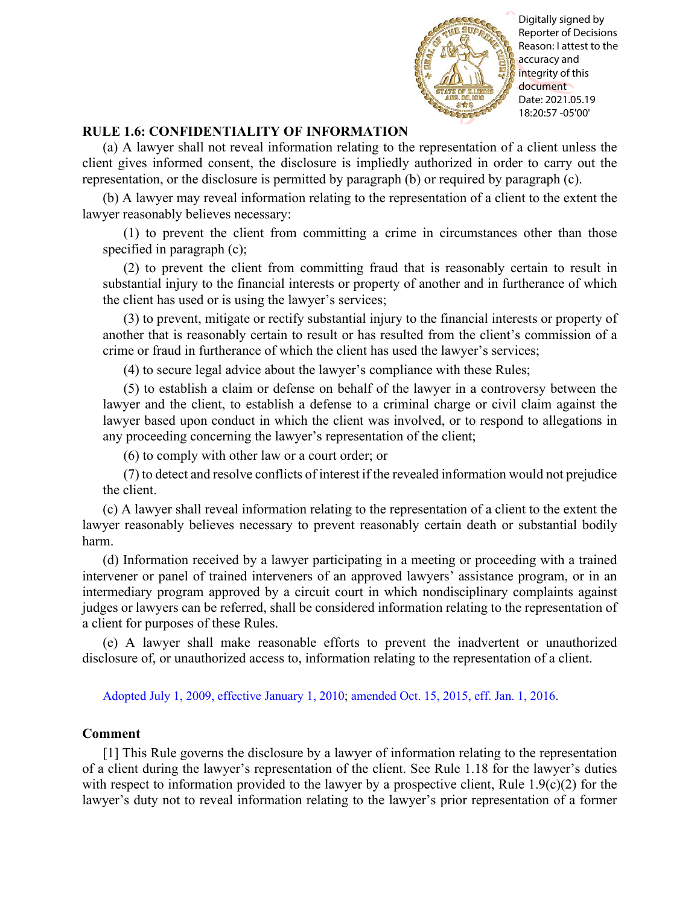

Reporter of Decisions Reason: I attest to the accuracy and integrity of this document Date: 2021.05.19 18:20:57 -05'00'

# **RULE 1.6: CONFIDENTIALITY OF INFORMATION**

(a) A lawyer shall not reveal information relating to the representation of a client unless the client gives informed consent, the disclosure is impliedly authorized in order to carry out the representation, or the disclosure is permitted by paragraph (b) or required by paragraph (c).

(b) A lawyer may reveal information relating to the representation of a client to the extent the lawyer reasonably believes necessary:

(1) to prevent the client from committing a crime in circumstances other than those specified in paragraph (c);

(2) to prevent the client from committing fraud that is reasonably certain to result in substantial injury to the financial interests or property of another and in furtherance of which the client has used or is using the lawyer's services;

(3) to prevent, mitigate or rectify substantial injury to the financial interests or property of another that is reasonably certain to result or has resulted from the client's commission of a crime or fraud in furtherance of which the client has used the lawyer's services;

(4) to secure legal advice about the lawyer's compliance with these Rules;

(5) to establish a claim or defense on behalf of the lawyer in a controversy between the lawyer and the client, to establish a defense to a criminal charge or civil claim against the lawyer based upon conduct in which the client was involved, or to respond to allegations in any proceeding concerning the lawyer's representation of the client;

(6) to comply with other law or a court order; or

(7) to detect and resolve conflicts of interest if the revealed information would not prejudice the client.

(c) A lawyer shall reveal information relating to the representation of a client to the extent the lawyer reasonably believes necessary to prevent reasonably certain death or substantial bodily harm.

(d) Information received by a lawyer participating in a meeting or proceeding with a trained intervener or panel of trained interveners of an approved lawyers' assistance program, or in an intermediary program approved by a circuit court in which nondisciplinary complaints against judges or lawyers can be referred, shall be considered information relating to the representation of a client for purposes of these Rules. **EVALUE 1.6: CONFIDENTITALITY OF INFORMATION**<br> **RELUE 1.6: CONFIDENTITALITY OF INFORMATION**<br> **RELUE 1.6: CONFIDENTITALITY OF INFORMATION**<br> **RELUE 1.6: CONFIDENTITALITY OF INFORMATION**<br> **RELUE 1.6:** CONFIDENTITALITY OF INF

(e) A lawyer shall make reasonable efforts to prevent the inadvertent or unauthorized disclosure of, or unauthorized access to, information relating to the representation of a client.

[Adopted July 1, 2009, effective January 1, 2010;](http://www.illinoiscourts.gov/files/070109.pdf/amendment) [amended Oct. 15, 2015, eff.](http://www.illinoiscourts.gov/files/101515.pdf/amendment) Jan. 1, 2016.

# **Comment**

[1] This Rule governs the disclosure by a lawyer of information relating to the representation of a client during the lawyer's representation of the client. See Rule 1.18 for the lawyer's duties with respect to information provided to the lawyer by a prospective client, Rule  $1.9(c)(2)$  for the lawyer's duty not to reveal information relating to the lawyer's prior representation of a former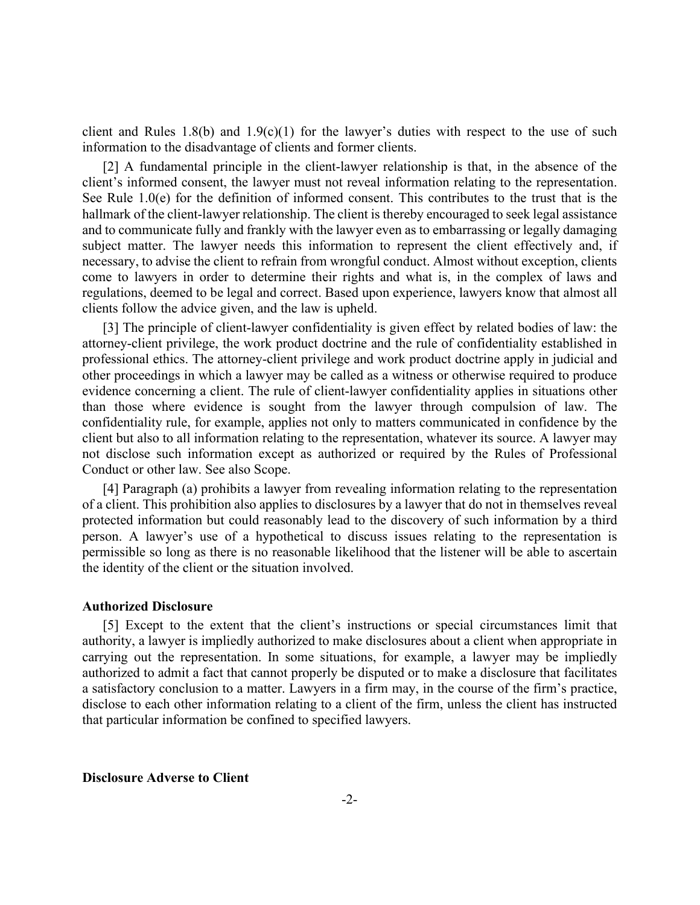client and Rules 1.8(b) and 1.9(c)(1) for the lawyer's duties with respect to the use of such information to the disadvantage of clients and former clients.

[2] A fundamental principle in the client-lawyer relationship is that, in the absence of the client's informed consent, the lawyer must not reveal information relating to the representation. See Rule  $1.0(e)$  for the definition of informed consent. This contributes to the trust that is the hallmark of the client-lawyer relationship. The client is thereby encouraged to seek legal assistance and to communicate fully and frankly with the lawyer even as to embarrassing or legally damaging subject matter. The lawyer needs this information to represent the client effectively and, if necessary, to advise the client to refrain from wrongful conduct. Almost without exception, clients come to lawyers in order to determine their rights and what is, in the complex of laws and regulations, deemed to be legal and correct. Based upon experience, lawyers know that almost all clients follow the advice given, and the law is upheld.

[3] The principle of client-lawyer confidentiality is given effect by related bodies of law: the attorney-client privilege, the work product doctrine and the rule of confidentiality established in professional ethics. The attorney-client privilege and work product doctrine apply in judicial and other proceedings in which a lawyer may be called as a witness or otherwise required to produce evidence concerning a client. The rule of client-lawyer confidentiality applies in situations other than those where evidence is sought from the lawyer through compulsion of law. The confidentiality rule, for example, applies not only to matters communicated in confidence by the client but also to all information relating to the representation, whatever its source. A lawyer may not disclose such information except as authorized or required by the Rules of Professional Conduct or other law. See also Scope.

[4] Paragraph (a) prohibits a lawyer from revealing information relating to the representation of a client. This prohibition also applies to disclosures by a lawyer that do not in themselves reveal protected information but could reasonably lead to the discovery of such information by a third person. A lawyer's use of a hypothetical to discuss issues relating to the representation is permissible so long as there is no reasonable likelihood that the listener will be able to ascertain the identity of the client or the situation involved.

#### **Authorized Disclosure**

[5] Except to the extent that the client's instructions or special circumstances limit that authority, a lawyer is impliedly authorized to make disclosures about a client when appropriate in carrying out the representation. In some situations, for example, a lawyer may be impliedly authorized to admit a fact that cannot properly be disputed or to make a disclosure that facilitates a satisfactory conclusion to a matter. Lawyers in a firm may, in the course of the firm's practice, disclose to each other information relating to a client of the firm, unless the client has instructed that particular information be confined to specified lawyers.

### **Disclosure Adverse to Client**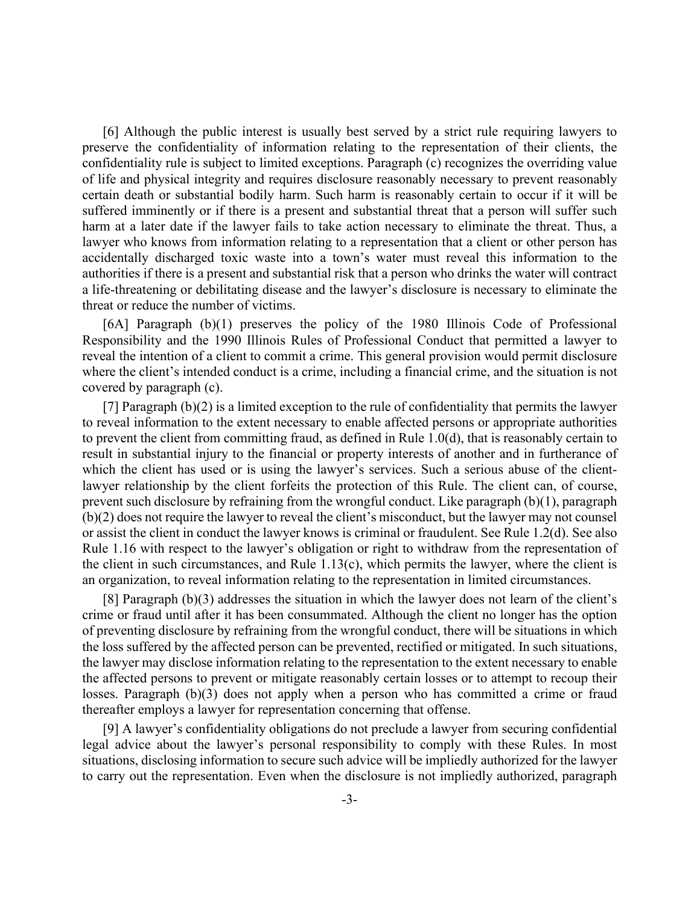[6] Although the public interest is usually best served by a strict rule requiring lawyers to preserve the confidentiality of information relating to the representation of their clients, the confidentiality rule is subject to limited exceptions. Paragraph (c) recognizes the overriding value of life and physical integrity and requires disclosure reasonably necessary to prevent reasonably certain death or substantial bodily harm. Such harm is reasonably certain to occur if it will be suffered imminently or if there is a present and substantial threat that a person will suffer such harm at a later date if the lawyer fails to take action necessary to eliminate the threat. Thus, a lawyer who knows from information relating to a representation that a client or other person has accidentally discharged toxic waste into a town's water must reveal this information to the authorities if there is a present and substantial risk that a person who drinks the water will contract a life-threatening or debilitating disease and the lawyer's disclosure is necessary to eliminate the threat or reduce the number of victims.

[6A] Paragraph (b)(1) preserves the policy of the 1980 Illinois Code of Professional Responsibility and the 1990 Illinois Rules of Professional Conduct that permitted a lawyer to reveal the intention of a client to commit a crime. This general provision would permit disclosure where the client's intended conduct is a crime, including a financial crime, and the situation is not covered by paragraph (c).

[7] Paragraph (b)(2) is a limited exception to the rule of confidentiality that permits the lawyer to reveal information to the extent necessary to enable affected persons or appropriate authorities to prevent the client from committing fraud, as defined in Rule 1.0(d), that is reasonably certain to result in substantial injury to the financial or property interests of another and in furtherance of which the client has used or is using the lawyer's services. Such a serious abuse of the clientlawyer relationship by the client forfeits the protection of this Rule. The client can, of course, prevent such disclosure by refraining from the wrongful conduct. Like paragraph (b)(1), paragraph (b)(2) does not require the lawyer to reveal the client's misconduct, but the lawyer may not counsel or assist the client in conduct the lawyer knows is criminal or fraudulent. See Rule 1.2(d). See also Rule 1.16 with respect to the lawyer's obligation or right to withdraw from the representation of the client in such circumstances, and Rule 1.13(c), which permits the lawyer, where the client is an organization, to reveal information relating to the representation in limited circumstances.

[8] Paragraph (b)(3) addresses the situation in which the lawyer does not learn of the client's crime or fraud until after it has been consummated. Although the client no longer has the option of preventing disclosure by refraining from the wrongful conduct, there will be situations in which the loss suffered by the affected person can be prevented, rectified or mitigated. In such situations, the lawyer may disclose information relating to the representation to the extent necessary to enable the affected persons to prevent or mitigate reasonably certain losses or to attempt to recoup their losses. Paragraph (b)(3) does not apply when a person who has committed a crime or fraud thereafter employs a lawyer for representation concerning that offense.

[9] A lawyer's confidentiality obligations do not preclude a lawyer from securing confidential legal advice about the lawyer's personal responsibility to comply with these Rules. In most situations, disclosing information to secure such advice will be impliedly authorized for the lawyer to carry out the representation. Even when the disclosure is not impliedly authorized, paragraph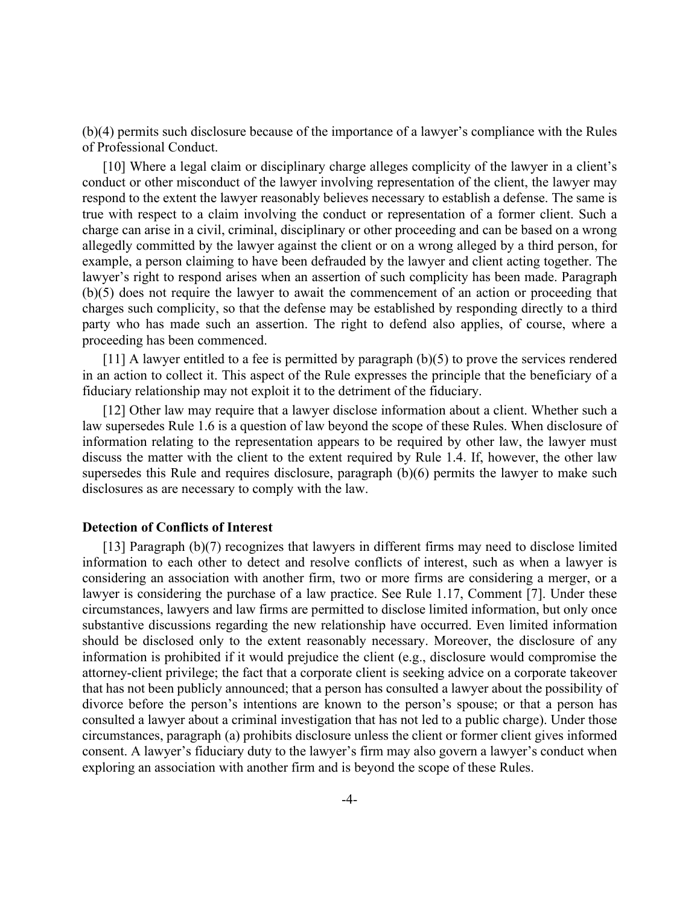(b)(4) permits such disclosure because of the importance of a lawyer's compliance with the Rules of Professional Conduct.

[10] Where a legal claim or disciplinary charge alleges complicity of the lawyer in a client's conduct or other misconduct of the lawyer involving representation of the client, the lawyer may respond to the extent the lawyer reasonably believes necessary to establish a defense. The same is true with respect to a claim involving the conduct or representation of a former client. Such a charge can arise in a civil, criminal, disciplinary or other proceeding and can be based on a wrong allegedly committed by the lawyer against the client or on a wrong alleged by a third person, for example, a person claiming to have been defrauded by the lawyer and client acting together. The lawyer's right to respond arises when an assertion of such complicity has been made. Paragraph (b)(5) does not require the lawyer to await the commencement of an action or proceeding that charges such complicity, so that the defense may be established by responding directly to a third party who has made such an assertion. The right to defend also applies, of course, where a proceeding has been commenced.

 $[11]$  A lawyer entitled to a fee is permitted by paragraph  $(b)(5)$  to prove the services rendered in an action to collect it. This aspect of the Rule expresses the principle that the beneficiary of a fiduciary relationship may not exploit it to the detriment of the fiduciary.

[12] Other law may require that a lawyer disclose information about a client. Whether such a law supersedes Rule 1.6 is a question of law beyond the scope of these Rules. When disclosure of information relating to the representation appears to be required by other law, the lawyer must discuss the matter with the client to the extent required by Rule 1.4. If, however, the other law supersedes this Rule and requires disclosure, paragraph (b)(6) permits the lawyer to make such disclosures as are necessary to comply with the law.

### **Detection of Conflicts of Interest**

[13] Paragraph (b)(7) recognizes that lawyers in different firms may need to disclose limited information to each other to detect and resolve conflicts of interest, such as when a lawyer is considering an association with another firm, two or more firms are considering a merger, or a lawyer is considering the purchase of a law practice. See Rule 1.17, Comment [7]. Under these circumstances, lawyers and law firms are permitted to disclose limited information, but only once substantive discussions regarding the new relationship have occurred. Even limited information should be disclosed only to the extent reasonably necessary. Moreover, the disclosure of any information is prohibited if it would prejudice the client (e.g., disclosure would compromise the attorney-client privilege; the fact that a corporate client is seeking advice on a corporate takeover that has not been publicly announced; that a person has consulted a lawyer about the possibility of divorce before the person's intentions are known to the person's spouse; or that a person has consulted a lawyer about a criminal investigation that has not led to a public charge). Under those circumstances, paragraph (a) prohibits disclosure unless the client or former client gives informed consent. A lawyer's fiduciary duty to the lawyer's firm may also govern a lawyer's conduct when exploring an association with another firm and is beyond the scope of these Rules.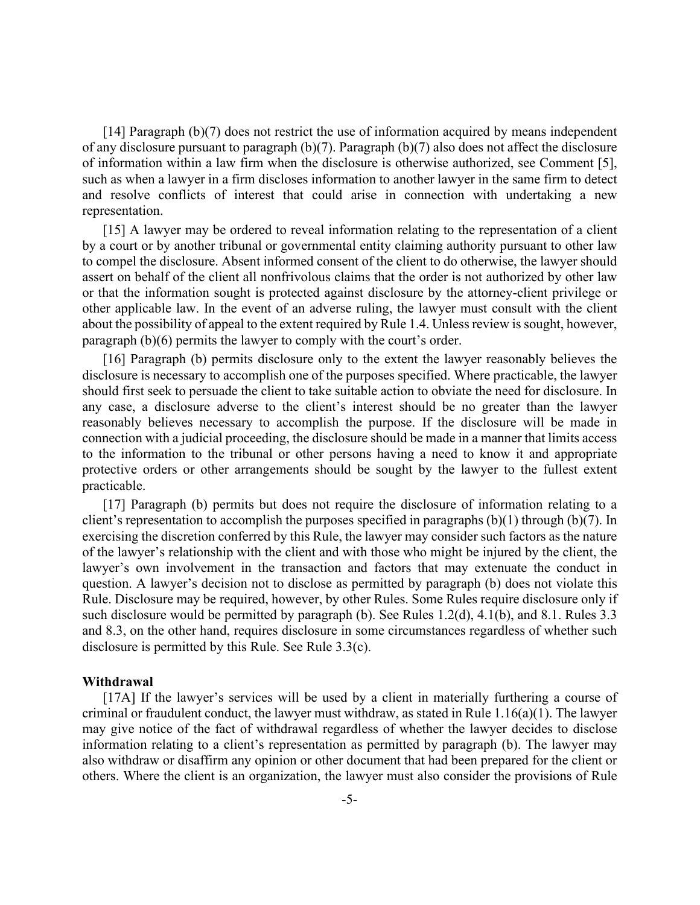[14] Paragraph (b)(7) does not restrict the use of information acquired by means independent of any disclosure pursuant to paragraph (b)(7). Paragraph (b)(7) also does not affect the disclosure of information within a law firm when the disclosure is otherwise authorized, see Comment [5], such as when a lawyer in a firm discloses information to another lawyer in the same firm to detect and resolve conflicts of interest that could arise in connection with undertaking a new representation.

[15] A lawyer may be ordered to reveal information relating to the representation of a client by a court or by another tribunal or governmental entity claiming authority pursuant to other law to compel the disclosure. Absent informed consent of the client to do otherwise, the lawyer should assert on behalf of the client all nonfrivolous claims that the order is not authorized by other law or that the information sought is protected against disclosure by the attorney-client privilege or other applicable law. In the event of an adverse ruling, the lawyer must consult with the client about the possibility of appeal to the extent required by Rule 1.4. Unless review is sought, however, paragraph (b)(6) permits the lawyer to comply with the court's order.

[16] Paragraph (b) permits disclosure only to the extent the lawyer reasonably believes the disclosure is necessary to accomplish one of the purposes specified. Where practicable, the lawyer should first seek to persuade the client to take suitable action to obviate the need for disclosure. In any case, a disclosure adverse to the client's interest should be no greater than the lawyer reasonably believes necessary to accomplish the purpose. If the disclosure will be made in connection with a judicial proceeding, the disclosure should be made in a manner that limits access to the information to the tribunal or other persons having a need to know it and appropriate protective orders or other arrangements should be sought by the lawyer to the fullest extent practicable.

[17] Paragraph (b) permits but does not require the disclosure of information relating to a client's representation to accomplish the purposes specified in paragraphs  $(b)(1)$  through  $(b)(7)$ . In exercising the discretion conferred by this Rule, the lawyer may consider such factors as the nature of the lawyer's relationship with the client and with those who might be injured by the client, the lawyer's own involvement in the transaction and factors that may extenuate the conduct in question. A lawyer's decision not to disclose as permitted by paragraph (b) does not violate this Rule. Disclosure may be required, however, by other Rules. Some Rules require disclosure only if such disclosure would be permitted by paragraph (b). See Rules 1.2(d), 4.1(b), and 8.1. Rules 3.3 and 8.3, on the other hand, requires disclosure in some circumstances regardless of whether such disclosure is permitted by this Rule. See Rule 3.3(c).

#### **Withdrawal**

[17A] If the lawyer's services will be used by a client in materially furthering a course of criminal or fraudulent conduct, the lawyer must withdraw, as stated in Rule 1.16(a)(1). The lawyer may give notice of the fact of withdrawal regardless of whether the lawyer decides to disclose information relating to a client's representation as permitted by paragraph (b). The lawyer may also withdraw or disaffirm any opinion or other document that had been prepared for the client or others. Where the client is an organization, the lawyer must also consider the provisions of Rule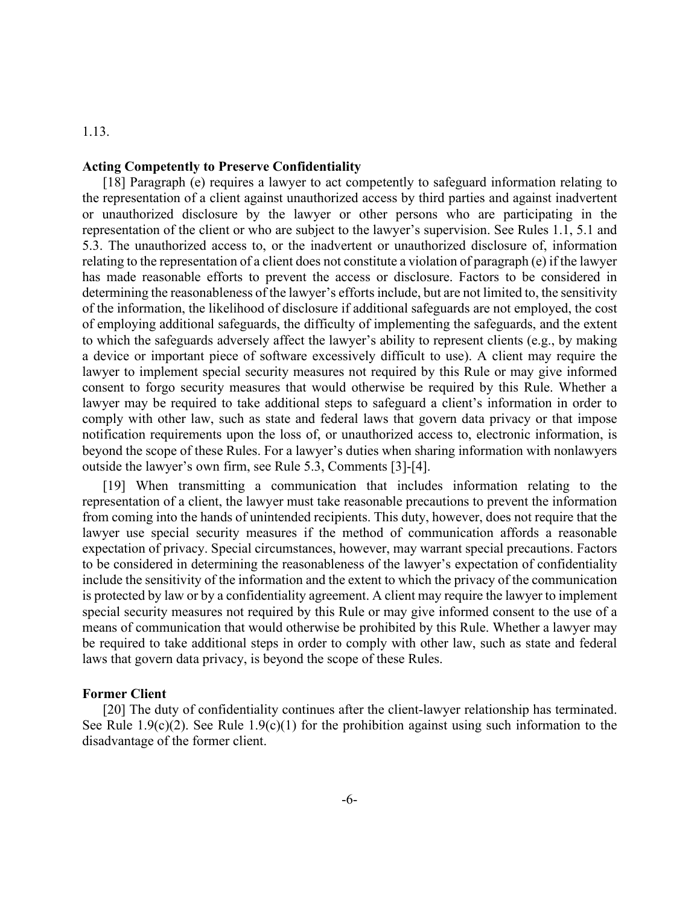### 1.13.

### **Acting Competently to Preserve Confidentiality**

[18] Paragraph (e) requires a lawyer to act competently to safeguard information relating to the representation of a client against unauthorized access by third parties and against inadvertent or unauthorized disclosure by the lawyer or other persons who are participating in the representation of the client or who are subject to the lawyer's supervision. See Rules 1.1, 5.1 and 5.3. The unauthorized access to, or the inadvertent or unauthorized disclosure of, information relating to the representation of a client does not constitute a violation of paragraph (e) if the lawyer has made reasonable efforts to prevent the access or disclosure. Factors to be considered in determining the reasonableness of the lawyer's efforts include, but are not limited to, the sensitivity of the information, the likelihood of disclosure if additional safeguards are not employed, the cost of employing additional safeguards, the difficulty of implementing the safeguards, and the extent to which the safeguards adversely affect the lawyer's ability to represent clients (e.g., by making a device or important piece of software excessively difficult to use). A client may require the lawyer to implement special security measures not required by this Rule or may give informed consent to forgo security measures that would otherwise be required by this Rule. Whether a lawyer may be required to take additional steps to safeguard a client's information in order to comply with other law, such as state and federal laws that govern data privacy or that impose notification requirements upon the loss of, or unauthorized access to, electronic information, is beyond the scope of these Rules. For a lawyer's duties when sharing information with nonlawyers outside the lawyer's own firm, see Rule 5.3, Comments [3]-[4].

[19] When transmitting a communication that includes information relating to the representation of a client, the lawyer must take reasonable precautions to prevent the information from coming into the hands of unintended recipients. This duty, however, does not require that the lawyer use special security measures if the method of communication affords a reasonable expectation of privacy. Special circumstances, however, may warrant special precautions. Factors to be considered in determining the reasonableness of the lawyer's expectation of confidentiality include the sensitivity of the information and the extent to which the privacy of the communication is protected by law or by a confidentiality agreement. A client may require the lawyer to implement special security measures not required by this Rule or may give informed consent to the use of a means of communication that would otherwise be prohibited by this Rule. Whether a lawyer may be required to take additional steps in order to comply with other law, such as state and federal laws that govern data privacy, is beyond the scope of these Rules.

### **Former Client**

[20] The duty of confidentiality continues after the client-lawyer relationship has terminated. See Rule 1.9(c)(2). See Rule 1.9(c)(1) for the prohibition against using such information to the disadvantage of the former client.